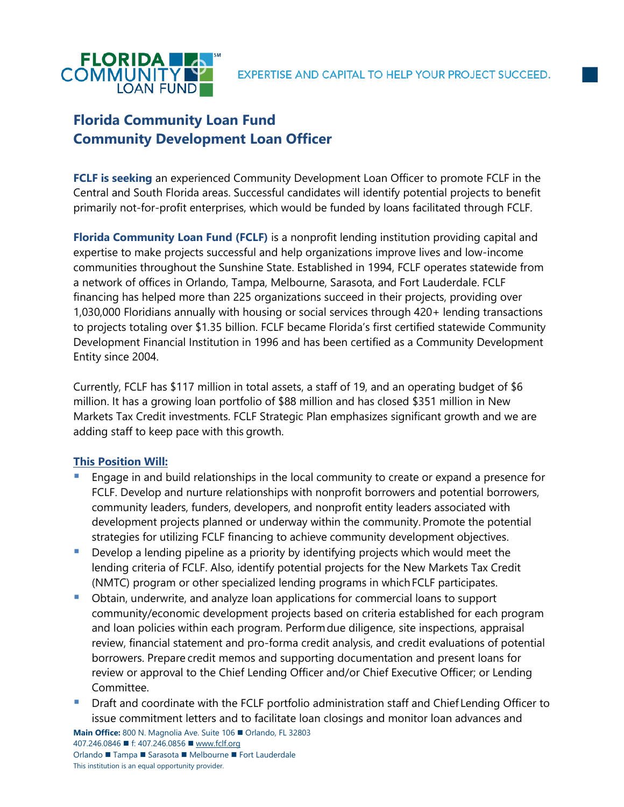

# **Florida Community Loan Fund Community Development Loan Officer**

**FCLF is seeking** an experienced Community Development Loan Officer to promote FCLF in the Central and South Florida areas. Successful candidates will identify potential projects to benefit primarily not-for-profit enterprises, which would be funded by loans facilitated through FCLF.

**Florida Community Loan Fund (FCLF)** is a nonprofit lending institution providing capital and expertise to make projects successful and help organizations improve lives and low-income communities throughout the Sunshine State. Established in 1994, FCLF operates statewide from a network of offices in Orlando, Tampa, Melbourne, Sarasota, and Fort Lauderdale. FCLF financing has helped more than 225 organizations succeed in their projects, providing over 1,030,000 Floridians annually with housing or social services through 420+ lending transactions to projects totaling over \$1.35 billion. FCLF became Florida's first certified statewide Community Development Financial Institution in 1996 and has been certified as a Community Development Entity since 2004.

Currently, FCLF has \$117 million in total assets, a staff of 19, and an operating budget of \$6 million. It has a growing loan portfolio of \$88 million and has closed \$351 million in New Markets Tax Credit investments. FCLF Strategic Plan emphasizes significant growth and we are adding staff to keep pace with this growth.

# **This Position Will:**

- Engage in and build relationships in the local community to create or expand a presence for FCLF. Develop and nurture relationships with nonprofit borrowers and potential borrowers, community leaders, funders, developers, and nonprofit entity leaders associated with development projects planned or underway within the community. Promote the potential strategies for utilizing FCLF financing to achieve community development objectives.
- Develop a lending pipeline as a priority by identifying projects which would meet the lending criteria of FCLF. Also, identify potential projects for the New Markets Tax Credit (NMTC) program or other specialized lending programs in which FCLF participates.
- Obtain, underwrite, and analyze loan applications for commercial loans to support community/economic development projects based on criteria established for each program and loan policies within each program. Performdue diligence, site inspections, appraisal review, financial statement and pro-forma credit analysis, and credit evaluations of potential borrowers. Prepare credit memos and supporting documentation and present loans for review or approval to the Chief Lending Officer and/or Chief Executive Officer; or Lending Committee.
- Draft and coordinate with the FCLF portfolio administration staff and Chief Lending Officer to issue commitment letters and to facilitate loan closings and monitor loan advances and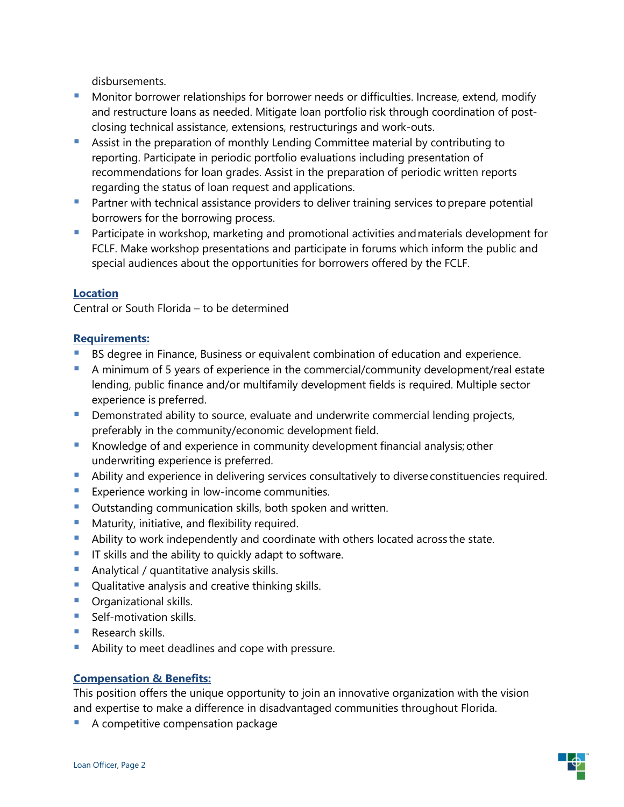disbursements.

- Monitor borrower relationships for borrower needs or difficulties. Increase, extend, modify and restructure loans as needed. Mitigate loan portfolio risk through coordination of postclosing technical assistance, extensions, restructurings and work-outs.
- Assist in the preparation of monthly Lending Committee material by contributing to reporting. Participate in periodic portfolio evaluations including presentation of recommendations for loan grades. Assist in the preparation of periodic written reports regarding the status of loan request and applications.
- Partner with technical assistance providers to deliver training services to prepare potential borrowers for the borrowing process.
- **E** Participate in workshop, marketing and promotional activities and materials development for FCLF. Make workshop presentations and participate in forums which inform the public and special audiences about the opportunities for borrowers offered by the FCLF.

## **Location**

Central or South Florida – to be determined

## **Requirements:**

- BS degree in Finance, Business or equivalent combination of education and experience.
- **E** A minimum of 5 years of experience in the commercial/community development/real estate lending, public finance and/or multifamily development fields is required. Multiple sector experience is preferred.
- Demonstrated ability to source, evaluate and underwrite commercial lending projects, preferably in the community/economic development field.
- Knowledge of and experience in community development financial analysis; other underwriting experience is preferred.
- **E** Ability and experience in delivering services consultatively to diverse constituencies required.
- **EXPERIENCE EXPERIENCE IN STATE IN LOCAL EXPERIENCE**.
- Outstanding communication skills, both spoken and written.
- Maturity, initiative, and flexibility required.
- Ability to work independently and coordinate with others located across the state.
- **T** IT skills and the ability to quickly adapt to software.
- Analytical / quantitative analysis skills.
- Qualitative analysis and creative thinking skills.
- **•** Organizational skills.
- Self-motivation skills.
- Research skills
- Ability to meet deadlines and cope with pressure.

#### **Compensation & Benefits:**

This position offers the unique opportunity to join an innovative organization with the vision and expertise to make a difference in disadvantaged communities throughout Florida.

A competitive compensation package